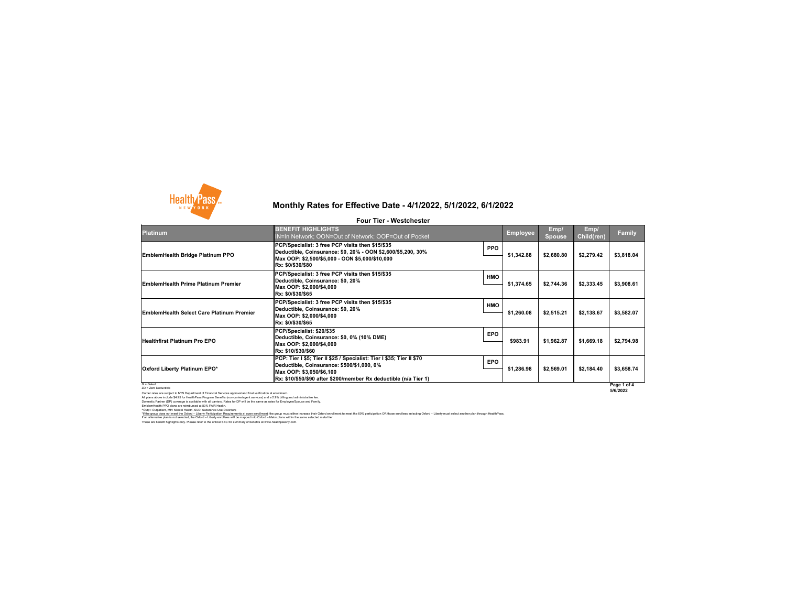

### **Platinum**

### G = Gated ZD = Zero Deductible

Carrier rates are subject to NYS Department of Financial Services approval and final verification at enrollment. All plans above include \$4.95 for HealthPass Program Benefits (non-carrier/agent services) and a 2.9% billing and administrative fee. Domestic Partner (DP) coverage is available with all carriers. Rates for DP will be the same as rates for Employee/Spouse and Family. EmblemHealth PPO plans are reimbursed at 80% FAIR Health. ^Outpt: Outpatient, MH: Mental Health, SUD: Substance Use Disorders

**5/6/2022**

# **Monthly Rates for Effective Date - 4/1/2022, 5/1/2022, 6/1/2022**

**Four Tier - Westchester**

These are benefit highlights only. Please refer to the official SBC for summary of benefits at www.healthpassny.com. \*If the group does not meet the Oxford - Liberty Participation Requirements at open enrollment: the group must either increase their Oxford enrollment to meet the 60% participation OR those enrollees selecting Oxford - Lib If an alternative plan is not selected, the Oxford – Liberty enrollees will be mapped into Oxford – Metro plans within the same selected metal tier.

| <b>BENEFIT HIGHLIGHTS</b><br><b>IN=In Network; OON=Out of Network; OOP=Out of Pocket</b>                                                                                                                              |            | <b>Employee</b> | Emp/<br><b>Spouse</b> | Emp/<br><b>Child(ren)</b> | <b>Family</b> |
|-----------------------------------------------------------------------------------------------------------------------------------------------------------------------------------------------------------------------|------------|-----------------|-----------------------|---------------------------|---------------|
| PCP/Specialist: 3 free PCP visits then \$15/\$35<br>Deductible, Coinsurance: \$0, 20% - OON \$2,600/\$5,200, 30%<br> Max OOP: \$2,500/\$5,000 - OON \$5,000/\$10,000<br> Rx: \$0/\$30/\$80                            | <b>PPO</b> | \$1,342.88      | \$2,680.80            | \$2,279.42                | \$3,818.04    |
| PCP/Specialist: 3 free PCP visits then \$15/\$35<br>Deductible, Coinsurance: \$0, 20%<br>Max OOP: \$2,000/\$4,000<br> Rx: \$0/\$30/\$65                                                                               | <b>HMO</b> | \$1,374.65      | \$2,744.36            | \$2,333.45                | \$3,908.61    |
| PCP/Specialist: 3 free PCP visits then \$15/\$35<br>Deductible, Coinsurance: \$0, 20%<br>Max OOP: \$2,000/\$4,000<br> Rx: \$0/\$30/\$65                                                                               | <b>HMO</b> | \$1,260.08      | \$2,515.21            | \$2,138.67                | \$3,582.07    |
| PCP/Specialist: \$20/\$35 <br> Deductible, Coinsurance: \$0, 0% (10% DME) <br>Max OOP: \$2,000/\$4,000<br> Rx: \$10/\$30/\$60                                                                                         | <b>EPO</b> | \$983.91        | \$1,962.87            | \$1,669.18                | \$2,794.98    |
| PCP: Tier I \$5; Tier II \$25 / Specialist: Tier I \$35; Tier II \$70<br> Deductible, Coinsurance: \$500/\$1,000, 0%<br>Max OOP: \$3,050/\$6,100<br> Rx: \$10/\$50/\$90 after \$200/member Rx deductible (n/a Tier 1) | <b>EPO</b> | \$1,286.98      | \$2,569.01            | \$2,184.40                | \$3,658.74    |
|                                                                                                                                                                                                                       |            |                 |                       |                           | Page 1 of 4   |

### **Oxford Liberty Platinum EPO\***

**EmblemHealth Bridge Platinum PPO**

**EmblemHealth Prime Platinum Premier** 

**Healthfirst Platinum Pro EPO**

**EmblemHealth Select Care Platinum Premier**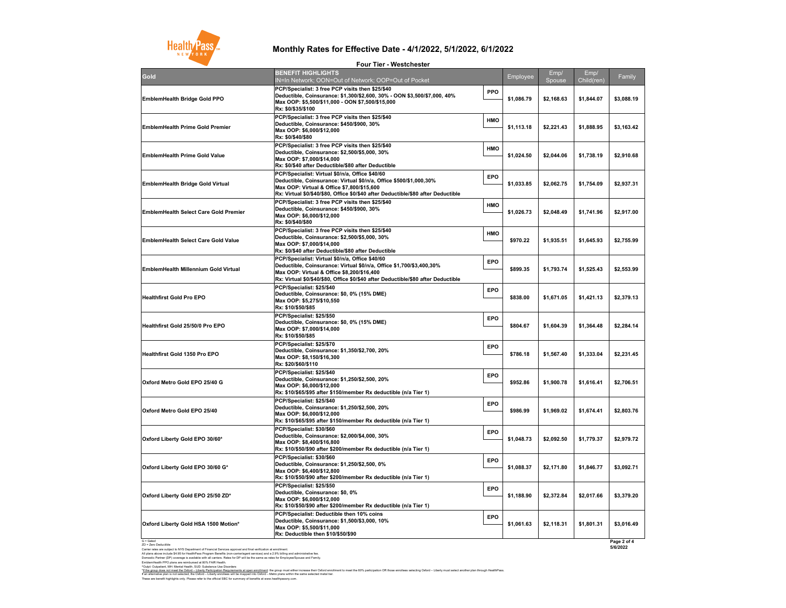G = Gated ZD = Zero Deductible

^Outpt: Outpatient, MH: Mental Health, SUD: Substance Use Disorders These are benefit highlights only. Please refer to the official SBC for summary of benefits at www.healthpassny.com. \*If the group does not meet the Oxford - Liberty Participation Requirements at open enrollment: the group must either increase their Oxford enrollment to meet the 60% participation OR those enrollees selecting Oxford - Lib If an alternative plan is not selected, the Oxford – Liberty enrollees will be mapped into Oxford – Metro plans within the same selected metal tier.

Carrier rates are subject to NYS Department of Financial Services approval and final verification at enrollment. All plans above include \$4.95 for HealthPass Program Benefits (non-carrier/agent services) and a 2.9% billing and administrative fee. Domestic Partner (DP) coverage is available with all carriers. Rates for DP will be the same as rates for Employee/Spouse and Family. EmblemHealth PPO plans are reimbursed at 80% FAIR Health.

**Page 2 of 4 5/6/2022**

## **Monthly Rates for Effective Date - 4/1/2022, 5/1/2022, 6/1/2022**

**Four Tier - Westchester**

|                                              | LONI IIAI - MASSICIIASIAI                                                                                                                                                                                                                                     |            |            |                |                    |            |
|----------------------------------------------|---------------------------------------------------------------------------------------------------------------------------------------------------------------------------------------------------------------------------------------------------------------|------------|------------|----------------|--------------------|------------|
| Gold                                         | <b>BENEFIT HIGHLIGHTS</b><br>N=In Network; OON=Out of Network; OOP=Out of Pocket                                                                                                                                                                              |            | Employee   | Emp/<br>Spouse | Emp/<br>Child(ren) | Family     |
| <b>EmblemHealth Bridge Gold PPO</b>          | PCP/Specialist: 3 free PCP visits then \$25/\$40<br>Deductible, Coinsurance: \$1,300/\$2,600, 30% - OON \$3,500/\$7,000, 40%<br>Max OOP: \$5,500/\$11,000 - OON \$7,500/\$15,000<br>Rx: \$0/\$35/\$100                                                        | <b>PPO</b> | \$1,086.79 | \$2,168.63     | \$1,844.07         | \$3,088.19 |
| <b>EmblemHealth Prime Gold Premier</b>       | PCP/Specialist: 3 free PCP visits then \$25/\$40<br>Deductible, Coinsurance: \$450/\$900, 30%<br>Max OOP: \$6,000/\$12,000<br>Rx: \$0/\$40/\$80                                                                                                               | <b>HMO</b> | \$1,113.18 | \$2,221.43     | \$1,888.95         | \$3,163.42 |
| <b>EmblemHealth Prime Gold Value</b>         | PCP/Specialist: 3 free PCP visits then \$25/\$40<br>Deductible, Coinsurance: \$2,500/\$5,000, 30%<br>Max OOP: \$7,000/\$14,000<br>Rx: \$0/\$40 after Deductible/\$80 after Deductible                                                                         | <b>HMO</b> | \$1,024.50 | \$2,044.06     | \$1,738.19         | \$2,910.68 |
| <b>EmblemHealth Bridge Gold Virtual</b>      | PCP/Specialist: Virtual \$0/n/a, Office \$40/60<br>Deductible, Coinsurance: Virtual \$0/n/a, Office \$500/\$1,000,30%<br>Max OOP: Virtual & Office \$7,800/\$15,600<br> Rx: Virtual \$0/\$40/\$80, Office \$0/\$40 after Deductible/\$80 after Deductible_    | <b>EPO</b> | \$1,033.85 | \$2,062.75     | \$1,754.09         | \$2,937.31 |
| <b>EmblemHealth Select Care Gold Premier</b> | PCP/Specialist: 3 free PCP visits then \$25/\$40<br>Deductible, Coinsurance: \$450/\$900, 30%<br>Max OOP: \$6,000/\$12,000<br> Rx: \$0/\$40/\$80                                                                                                              | <b>HMO</b> | \$1,026.73 | \$2,048.49     | \$1,741.96         | \$2,917.00 |
| <b>EmblemHealth Select Care Gold Value</b>   | PCP/Specialist: 3 free PCP visits then \$25/\$40<br> Deductible, Coinsurance: \$2,500/\$5,000, 30%<br>Max OOP: \$7,000/\$14,000 <br>Rx: \$0/\$40 after Deductible/\$80 after Deductible                                                                       | <b>HMO</b> | \$970.22   | \$1,935.51     | \$1,645.93         | \$2,755.99 |
| <b>EmblemHealth Millennium Gold Virtual</b>  | PCP/Specialist: Virtual \$0/n/a, Office \$40/60<br> Deductible, Coinsurance: Virtual \$0/n/a, Office \$1,700/\$3,400,30%<br> Max OOP: Virtual & Office \$8,200/\$16,400<br> Rx: Virtual \$0/\$40/\$80, Office \$0/\$40 after Deductible/\$80 after Deductible | <b>EPO</b> | \$899.35   | \$1,793.74     | \$1,525.43         | \$2,553.99 |
| <b>Healthfirst Gold Pro EPO</b>              | PCP/Specialist: \$25/\$40<br>Deductible, Coinsurance: \$0, 0% (15% DME)<br>Max OOP: \$5,275/\$10,550<br>Rx: \$10/\$50/\$85                                                                                                                                    | <b>EPO</b> | \$838.00   | \$1,671.05     | \$1,421.13         | \$2,379.13 |
| <b>Healthfirst Gold 25/50/0 Pro EPO</b>      | PCP/Specialist: \$25/\$50<br>Deductible, Coinsurance: \$0, 0% (15% DME)<br>Max OOP: \$7,000/\$14,000<br>Rx: \$10/\$50/\$85                                                                                                                                    | <b>EPO</b> | \$804.67   | \$1,604.39     | \$1,364.48         | \$2,284.14 |
| <b>Healthfirst Gold 1350 Pro EPO</b>         | PCP/Specialist: \$25/\$70<br>Deductible, Coinsurance: \$1,350/\$2,700, 20%<br>Max OOP: \$8,150/\$16,300<br>Rx: \$20/\$60/\$110                                                                                                                                | <b>EPO</b> | \$786.18   | \$1,567.40     | \$1,333.04         | \$2,231.45 |
| Oxford Metro Gold EPO 25/40 G                | PCP/Specialist: \$25/\$40<br>Deductible, Coinsurance: \$1,250/\$2,500, 20%<br>Max OOP: \$6,000/\$12,000<br> Rx: \$10/\$65/\$95 after \$150/member Rx deductible (n/a Tier 1)                                                                                  | <b>EPO</b> | \$952.86   | \$1,900.78     | \$1,616.41         | \$2,706.51 |
| Oxford Metro Gold EPO 25/40                  | PCP/Specialist: \$25/\$40<br>Deductible, Coinsurance: \$1,250/\$2,500, 20%<br>Max OOP: \$6,000/\$12,000<br> Rx: \$10/\$65/\$95 after \$150/member Rx deductible (n/a Tier 1)_                                                                                 | <b>EPO</b> | \$986.99   | \$1,969.02     | \$1,674.41         | \$2,803.76 |
| Oxford Liberty Gold EPO 30/60*               | PCP/Specialist: \$30/\$60<br> Deductible, Coinsurance: \$2,000/\$4,000, 30%<br>Max OOP: \$8,400/\$16,800<br> Rx: \$10/\$50/\$90 after \$200/member Rx deductible (n/a Tier 1)                                                                                 | <b>EPO</b> | \$1,048.73 | \$2,092.50     | \$1,779.37         | \$2,979.72 |
| Oxford Liberty Gold EPO 30/60 G*             | PCP/Specialist: \$30/\$60<br>Deductible, Coinsurance: \$1,250/\$2,500, 0%<br>Max OOP: \$6,400/\$12,800<br> Rx: \$10/\$50/\$90 after \$200/member Rx deductible (n/a Tier 1)                                                                                   | <b>EPO</b> | \$1,088.37 | \$2,171.80     | \$1,846.77         | \$3,092.71 |
| Oxford Liberty Gold EPO 25/50 ZD*            | PCP/Specialist: \$25/\$50<br>Deductible, Coinsurance: \$0, 0%<br>Max OOP: \$6,000/\$12,000<br> Rx: \$10/\$50/\$90 after \$200/member Rx deductible (n/a Tier 1)                                                                                               | <b>EPO</b> | \$1,188.90 | \$2,372.84     | \$2,017.66         | \$3,379.20 |
| Oxford Liberty Gold HSA 1500 Motion*         | <b>PCP/Specialist: Deductible then 10% coins</b><br>Deductible, Coinsurance: \$1,500/\$3,000, 10%<br>Max OOP: \$5,500/\$11,000 M<br><b>Rx: Deductible then \$10/\$50/\$90</b>                                                                                 | <b>EPO</b> | \$1,061.63 | \$2,118.31     | \$1,801.31         | \$3,016.49 |
| $C - C$ otod                                 |                                                                                                                                                                                                                                                               |            |            |                |                    | $D = 0$    |

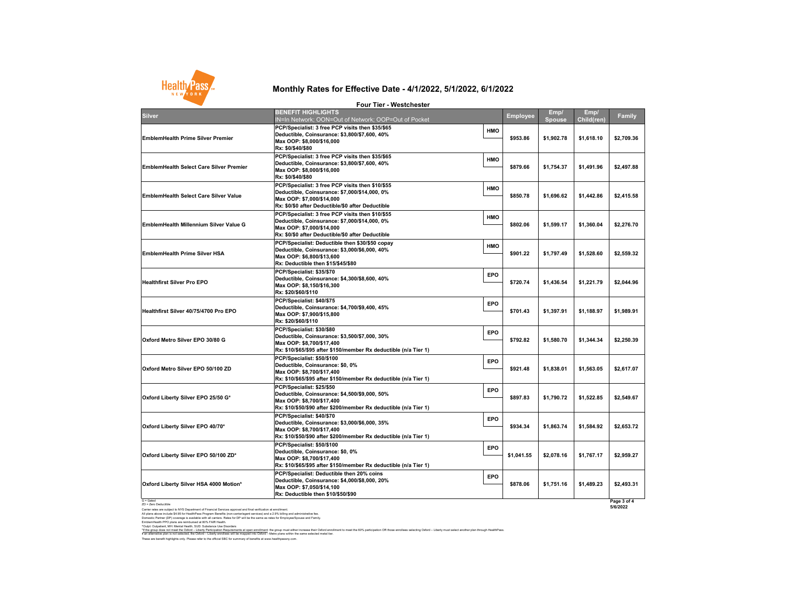G = Gated ZD = Zero Deductible

Carrier rates are subject to NYS Department of Financial Services approval and final verification at enrollment. All plans above include \$4.95 for HealthPass Program Benefits (non-carrier/agent services) and a 2.9% billing and administrative fee. Domestic Partner (DP) coverage is available with all carriers. Rates for DP will be the same as rates for Employee/Spouse and Family. EmblemHealth PPO plans are reimbursed at 80% FAIR Health.

^Outpt: Outpatient, MH: Mental Health, SUD: Substance Use Disorders

These are benefit highlights only. Please refer to the official SBC for summary of benefits at www.healthpassny.com. \*<u>If the group does not meet the Oxford – Liberty Participation Requirements at open enrollment</u>: the group must either increase their Oxford enrollment to meet the 60% participation OR those enrollees selecting Oxford – L If an alternative plan is not selected, the Oxford – Liberty enrollees will be mapped into Oxford – Metro plans within the same selected metal tier.

|                                                                                                                                                      | <b>Four Tier - Westchester</b>                                                                                                                                                        |                          |                       |                           |                         |
|------------------------------------------------------------------------------------------------------------------------------------------------------|---------------------------------------------------------------------------------------------------------------------------------------------------------------------------------------|--------------------------|-----------------------|---------------------------|-------------------------|
| <b>Silver</b>                                                                                                                                        | <b>BENEFIT HIGHLIGHTS</b><br>IN=In Network; OON=Out of Network; OOP=Out of Pocket                                                                                                     | <b>Employee</b>          | Emp/<br><b>Spouse</b> | Emp/<br><b>Child(ren)</b> | <b>Family</b>           |
| <b>EmblemHealth Prime Silver Premier</b>                                                                                                             | PCP/Specialist: 3 free PCP visits then \$35/\$65<br>Deductible, Coinsurance: \$3,800/\$7,600, 40%<br>Max OOP: \$8,000/\$16,000<br>Rx: \$0/\$40/\$80                                   | <b>HMO</b><br>\$953.86   | \$1,902.78            | \$1,618.10                | \$2,709.36              |
| <b>EmblemHealth Select Care Silver Premier</b>                                                                                                       | PCP/Specialist: 3 free PCP visits then \$35/\$65<br>Deductible, Coinsurance: \$3,800/\$7,600, 40%<br>Max OOP: \$8,000/\$16,000 M<br>Rx: \$0/\$40/\$80                                 | <b>HMO</b><br>\$879.66   | \$1,754.37            | \$1,491.96                | \$2,497.88              |
| <b>EmblemHealth Select Care Silver Value</b>                                                                                                         | PCP/Specialist: 3 free PCP visits then \$10/\$55<br>Deductible, Coinsurance: \$7,000/\$14,000, 0%<br>Max OOP: \$7,000/\$14,000<br> Rx: \$0/\$0 after Deductible/\$0 after Deductible_ | <b>HMO</b><br>\$850.78   | \$1,696.62            | \$1,442.86                | \$2,415.58              |
| <b>EmblemHealth Millennium Silver Value G</b>                                                                                                        | PCP/Specialist: 3 free PCP visits then \$10/\$55<br>Deductible, Coinsurance: \$7,000/\$14,000, 0%<br>Max OOP: \$7,000/\$14,000<br> Rx: \$0/\$0 after Deductible/\$0 after Deductible_ | <b>HMO</b><br>\$802.06   | \$1,599.17            | \$1,360.04                | \$2,276.70              |
| <b>EmblemHealth Prime Silver HSA</b>                                                                                                                 | PCP/Specialist: Deductible then \$30/\$50 copay<br> Deductible, Coinsurance: \$3,000/\$6,000, 40%<br>Max OOP: \$6,800/\$13,600 <br><b>Rx: Deductible then \$15/\$45/\$80</b>          | <b>HMO</b><br>\$901.22   | \$1,797.49            | \$1,528.60                | \$2,559.32              |
| <b>Healthfirst Silver Pro EPO</b>                                                                                                                    | PCP/Specialist: \$35/\$70<br> Deductible, Coinsurance: \$4,300/\$8,600, 40%<br>Max OOP: \$8,150/\$16,300<br> Rx: \$20/\$60/\$110                                                      | <b>EPO</b><br>\$720.74   | \$1,436.54            | \$1,221.79                | \$2,044.96              |
| Healthfirst Silver 40/75/4700 Pro EPO                                                                                                                | PCP/Specialist: \$40/\$75<br> Deductible, Coinsurance: \$4,700/\$9,400, 45%<br>Max OOP: \$7,900/\$15,800 M<br> Rx: \$20/\$60/\$110                                                    | <b>EPO</b><br>\$701.43   | \$1,397.91            | \$1,188.97                | \$1,989.91              |
| Oxford Metro Silver EPO 30/80 G                                                                                                                      | PCP/Specialist: \$30/\$80<br> Deductible, Coinsurance: \$3,500/\$7,000, 30%<br>Max OOP: \$8,700/\$17,400 <br>Rx: \$10/\$65/\$95 after \$150/member Rx deductible (n/a Tier 1)         | <b>EPO</b><br>\$792.82   | \$1,580.70            | \$1,344.34                | \$2,250.39              |
| Oxford Metro Silver EPO 50/100 ZD                                                                                                                    | PCP/Specialist: \$50/\$100<br>Deductible, Coinsurance: \$0, 0%<br>Max OOP: \$8,700/\$17,400 M<br> Rx: \$10/\$65/\$95 after \$150/member Rx deductible (n/a Tier 1)                    | <b>EPO</b><br>\$921.48   | \$1,838.01            | \$1,563.05                | \$2,617.07              |
| Oxford Liberty Silver EPO 25/50 G*                                                                                                                   | PCP/Specialist: \$25/\$50<br>Deductible, Coinsurance: \$4,500/\$9,000, 50%<br>Max OOP: \$8,700/\$17,400 <br> Rx: \$10/\$50/\$90 after \$200/member Rx deductible (n/a Tier 1)         | <b>EPO</b><br>\$897.83   | \$1,790.72            | \$1,522.85                | \$2,549.67              |
| Oxford Liberty Silver EPO 40/70*                                                                                                                     | PCP/Specialist: \$40/\$70<br> Deductible, Coinsurance: \$3,000/\$6,000, 35%<br>Max OOP: \$8,700/\$17,400 <br> Rx: \$10/\$50/\$90 after \$200/member Rx deductible (n/a Tier 1)        | <b>EPO</b><br>\$934.34   | \$1,863.74            | \$1,584.92                | \$2,653.72              |
| Oxford Liberty Silver EPO 50/100 ZD*                                                                                                                 | PCP/Specialist: \$50/\$100<br>Deductible, Coinsurance: \$0, 0%<br>Max OOP: \$8,700/\$17,400 M<br>Rx: \$10/\$65/\$95 after \$150/member Rx deductible (n/a Tier 1)                     | <b>EPO</b><br>\$1,041.55 | \$2,078.16            | \$1,767.17                | \$2,959.27              |
| Oxford Liberty Silver HSA 4000 Motion*                                                                                                               | PCP/Specialist: Deductible then 20% coins<br> Deductible, Coinsurance: \$4,000/\$8,000, 20%<br>Max OOP: \$7,050/\$14,100<br><b>Rx: Deductible then \$10/\$50/\$90</b>                 | <b>EPO</b><br>\$878.06   | \$1,751.16            | \$1,489.23                | \$2,493.31              |
| G = Gated<br>ZD = Zero Deductible<br>Carrier rates are subject to NVS Department of Einancial Septices approval and final verification at enrollment |                                                                                                                                                                                       |                          |                       |                           | Page 3 of 4<br>5/6/2022 |

## **Monthly Rates for Effective Date - 4/1/2022, 5/1/2022, 6/1/2022**